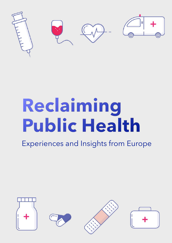

# **Reclaiming Public Health**

Experiences and Insights from Europe

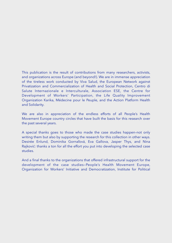This publication is the result of contributions from many researchers, activists, and organizations across Europe (and beyond!). We are in immense appreciation of the tireless work conducted by Viva Salud, the European Network against Privatization and Commercialization of Health and Social Protection, Centro di Salute Internazionale e Interculturale, Association ESE, the Centre for Development of Workers' Participation, the Life Quality Improvement Organization Karika, Médecine pour le Peuple, and the Action Platform Health and Solidarity.

We are also in appreciation of the endless efforts of all People's Health Movement Europe country circles that have built the basis for this research over the past several years.

A special thanks goes to those who made the case studies happen–not only writing them but also by supporting the research for this collection in other ways. Desirée Enlund, Dominika Gornaľová, Eva Gallova, Jasper Thys, and Nina Rajković: thanks a ton for all the effort you put into developing the selected case studies.

And a final thanks to the organizations that offered infrastructural support for the development of the case studies—People's Health Movement Europe, Organization for Workers' Initiative and Democratization, Institute for Political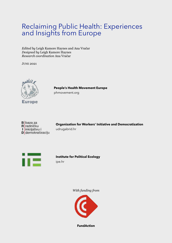## Reclaiming Public Health: Experiences and Insights from Europe

*Edited by* Leigh Kamore Haynes and Ana Vračar *Designed by* Leigh Kamore Haynes *Research coordination* Ana Vračar

JUNE 2021



**People's Health Movement Europe** phmovement.org



**Organization for Workers' Initiative and Democratization** udrugabrid.hr



**Institute for Political Ecology** ipe.hr

*With funding from*



**FundAction**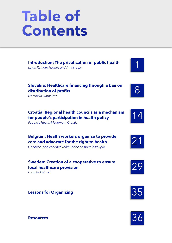## **Table of Contents**

| <b>Introduction: The privatization of public health</b> |  |  |
|---------------------------------------------------------|--|--|
| Leigh Kamore Haynes and Ana Vraçar                      |  |  |

#### **Slovakia: Healthcare financing through a ban on distribution of profits**

*Dominika Gornaľová*

#### **Croatia: Regional health councils as a mechanism for people's participation in health policy**

*People's Health Movement Croatia*

**Belgium: Health workers organize to provide care and advocate for the right to health** *Geneeskunde voor het Volk/Médecine pour le Peuple*

#### **Sweden: Creation of a cooperative to ensure local healthcare provision**

*Desirée Enlund*

### **Lessons for Organizing 35**















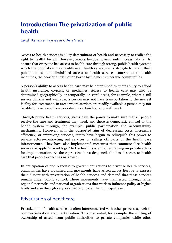## **Introduction: The privatization of public health**

Leigh Kamore Haynes and Ana Vračar

<span id="page-4-0"></span>Access to health services is a key determinant of health and necessary to realize the right to health<sup>[1](#page-9-0)</sup> for all. However, across Europe governments increasingly fail to ensure that everyone has access to health care through strong, public health systems which the population may readily use. Health care systems struggle to retain their public nature, and diminished access to health services contributes to health inequities, the heavier burden often borne by the most vulnerable communities.

A person's ability to access health care may be determined by their ability to afford health insurance, co-pays, or medicines. Access to health care may also be determined geographically or temporally. In rural areas, for example, where a full service clinic is not available, a person may not have transportation to the nearest facility for treatment. In areas where services are readily available a person may not be able to take leave from work during certain hours to seek care.[2](#page-9-1)

<span id="page-4-1"></span>Through public health services, states have the power to make sure that all people receive the care and treatment they need, and there is democratic control or the health system through, for example, public participation and accountability mechanisms. However, with the purported aim of decreasing costs, increasing efficiency, or improving services, states have begun to relinquish this power to private actors–contracting out services or selling off parts of the health care infrastructure. They have also implemented measures that commercialize health services or apply "market logic" to the health system, often relying on private actors for implementation. As these practices have deepened, the broad access to health care that people expect has narrowed.

In anticipation of and response to government actions to privatize health services, communities have organized and movements have arisen across Europe to express their dissent with privatization of health services and demand that these services remain under public control. These movements have manifested through large, regional networks and national organizations that work to influence policy at higher levels and also through very localized groups, at the municipal level.

#### Privatization of healthcare

Privatization of health services is often interconnected with other processes, such as commercialization and marketization. This may entail, for example, the shifting of ownership of assets from public authorities to private companies while other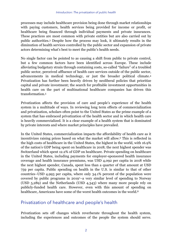<span id="page-5-0"></span>processes may include healthcare provision being done through market relationships with paying customers, health services being provided for income or profit, or healthcare being financed through individual payments and private insurances. These practices are most common with private entities but are also carried out by public authorities.<sup>[3](#page-9-2)</sup> Despite how the process may look, it ultimately results in the diminution of health services controlled by the public sector and expansion of private actors determining what's best to meet the public's health needs.

<span id="page-5-1"></span>No single factor can be pointed to as causing a shift from public to private control, but a few common factors have been identified across Europe. These include alleviating budgetary strain through containing costs, so-called "failure" of a troubled public sector, perceived affluence of health care services outside of the public sector, advancements in medical technology, or just the broader political climate[.4](#page-9-3) Privatization has further been heavily driven by neoliberal policies that prioritize capital and private investment; the search for profitable investment opportunities in health care on the part of multinational healthcare companies has driven this transformation.[5](#page-9-4)

<span id="page-5-2"></span>Privatization affects the provision of care and people's experience of the health system in a multitude of ways. In reviewing long term effects of commercialization and privatization, scholars often point to the United States as the prime example of a system that has embraced privatization of the health sector and in which health care is heavily commercialized. It is a clear example of a health system that is dominated by private interests and where market principles have prevailed.

<span id="page-5-3"></span>In the United States, commercialization impacts the affordability of health care as it incentivizes raising prices based on what the market will allow.<sup>[6](#page-9-5)</sup> This is reflected in the high costs of healthcare in the United States, the highest in the world, with 16.9% of the nation's GDP being spent on healthcare in 2018; the next highest spender was Switzerland which spent 12.2% of GDP on healthcare. Private spending on healthcare in the United States, including payments for employer-sponsored health insurance coverage and health insurance premiums, was USD 4,092 per capita in 2018 while the next highest spender, Canada, spent less than a quarter of that amount at USD 759 per capita. Public spending on health in the U.S. is similar to that of other countries–USD 4,993 per capita, where only 34.1% percent of the population were covered by public programs in 2019<sup>[7](#page-9-6)</sup>-a very similar level of spending to Norway (USD 5,289) and the Netherlands (USD 4,343) where many more people rely on publicly-funded health care. However, even with this amount of spending on healthcare, Americans have some of the worst health outcomes in the world.<sup>[8](#page-9-7)</sup>

#### <span id="page-5-5"></span><span id="page-5-4"></span>Privatization of healthcare and people's health

Privatization sets off changes which reverberate throughout the health system, including the experiences and outcomes of the people the system should serve.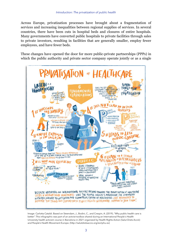Across Europe, privatization processes have brought about a fragmentation of services and increasing inequalities between regional supplies of services. In several countries, there have been cuts in hospital beds and closures of entire hospitals. Many governments have converted public hospitals to private facilities through sales to private investors, resulting in facilities that are generally smaller, employ fewer employees, and have fewer beds.

These changes have opened the door for more public-private partnerships (PPPs) in which the public authority and private sector company operate jointly or as a single



Image: Carlotta Cataldi. Based on Steendam, J., Bodini, C., and Crespin, A. (2019), "Why public health care is better". This infographic was part of an activist toolbox shared during an International People's Health University health activism course in Barcelona in 2021 organized by Health Rights Action (Salut Drets Acció) and People's Health Movement Europe. (<http://salutdretsaccio.org/es/iphu-es>)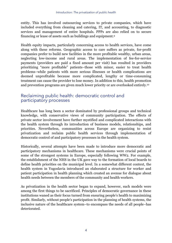entity. This has involved outsourcing services to private companies, which have included everything from cleaning and catering, IT, and accounting, to diagnostic services and management of entire hospitals. PPPs are also relied on to secure financing or lease of assets such as buildings and equipment[.9](#page-9-8)

<span id="page-7-0"></span>Health equity impacts, particularly concerning access to health services, have come along with these reforms. Geographic access to care suffers as private, for-profit companies prefer to build new facilities in the more profitable wealthy, urban areas, neglecting low-income and rural areas. The implementation of fee-for-service payments (providers are paid a fixed amount per visit) has resulted in providers prioritizing "more profitable" patients–those with minor, easier to treat health problems–while patients with more serious illnesses or health complications are deemed unprofitable because more complicated, lengthy or time-consuming treatment can cause the provider to lose money. In addition to this, health promotion and prevention programs are given much lower priority or are overlooked entirely[.10](#page-9-9)

#### <span id="page-7-1"></span>Reclaiming public health: democratic control and participatory processes

Healthcare has long been a sector dominated by professional groups and technical knowledge, with conservative views of community participation. The effects of private sector involvement have further mystified and complicated interactions with the health system through its introduction of business models, relationships, and priorities. Nevertheless, communities across Europe are organizing to resist privatization and reclaim public health services through implementation of democratic control of and participatory processes in the health system.

Historically, several attempts have been made to introduce more democratic and participatory mechanisms in healthcare. These mechanisms were crucial points of some of the strongest systems in Europe, especially following WW2. For example, the establishment of the NHS in the UK gave way to the formation of local boards to define health priorities on the municipal level. In a somewhat different context, the health system in Yugoslavia introduced an elaborated a structure for worker and patient participation in health planning which created an avenue for dialogue about health needs between the members of the community and health workers.

As privatization in the health sector began to expand, however, such models were among the first things to be sacrificed. Principles of democratic governance in these institutions waned as their focus turned from ensuring people's health to maximizing profit. Similarly, without people's participation in the planning of health systems, the inclusive nature of the healthcare system–to encompass the needs of all people–has deteriorated.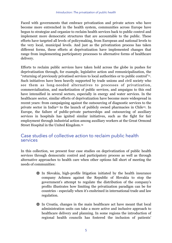Faced with governments that embrace privatization and private actors who have become more entrenched in the health system, communities across Europe have begun to strategize and organize to reclaim health services back to public control and implement more democratic structures that are accountable to the public. These efforts have targeted all levels of policymaking, from European and national levels to the very local, municipal levels. And just as the privatization process has taken different forms, these efforts at deprivatization have implemented changes that range from implementing participatory processes to alternative forms of healthcare delivery.

<span id="page-8-0"></span>Efforts to reclaim public services have taken hold across the globe in pushes for deprivatization through, for example, legislative action and remunicipalization, the "returning of previously privatised services to local authorities or to public control"<sup>11</sup>[.](#page-9-10) Such initiatives have been heavily supported by trade unions and civil society who see them as long-needed alternatives to processes of privatization, commercialization, and marketization of public services, and ampaigns to this end have intensified in several sectors, especially in energy and water services. In the healthcare sector, similar efforts of deprivatization have become more widespread in recent years: from campaigning against the outsourcing of diagnostic services to the priv[a](#page-10-0)te sector in India<sup>12</sup> to the launch of publicly owned pharmacies in Chile<sup>13</sup>. In Europe, the failure of public-private partnerships and outsourcing of auxiliary services in hospitals has ignited similar initiatives, such as the fight for fair employment through industrial action among auxiliary workers at the Great Ormond Street Hospital in the United Kingdom.[14](#page-10-2)

#### <span id="page-8-3"></span><span id="page-8-2"></span><span id="page-8-1"></span>Case studies of collective action to reclaim public health services

In this collection, we present four case studies on deprivatization of public health services through democratic control and participatory process as well as through alternative approaches to health care when other options fall short of meeting the needs of communities:

- In Slovakia, high-profile litigation initiated by the health insurance company Achmea against the Republic of Slovakia to stop the government's attempt to regulate the distribution of the company's profits illustrates how limiting the privatization paradigm can be for countries - especially when it's enshrined in international trade and law regulation.
- **In Croatia, changes in the main healthcare act have meant that local** administration units can take a more active and inclusive approach to healthcare delivery and planning. In some regions the introduction of regional health councils has fostered the inclusion of patients'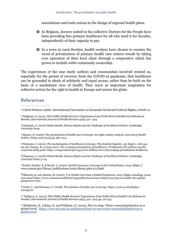associations and trade unions in the design of regional health plans.

- In Belgium, doctors united in the collective Doctors for the People have been providing free primary healthcare for all who need it for decades, independently of their capacity to pay.
- In a town in rural Sweden, health workers have chosen to counter the trend of privatization of primary health care centres trends by taking over operation of their local clinic through a cooperative which has grown to include wider community ownership.

The experiences of the case study authors and communities involved remind us, especially for the period of recovery from the COVID-19 pandemic, that healthcare can be grounded in ideals of solidarity and equal access, rather than be built on the basis of a marketized view of health. They serve as important inspiration for collective action for the right to health in Europe and across the globe.

#### References

<span id="page-9-2"></span> Chapman, A. (2016) *Global Health, Human Rights and the Challenge of Neoliberal Policies*. Cambridge [3](#page-5-0) University Press.

<span id="page-9-3"></span> Maarse, H. (2006). The privatization of health care in Europe: An eight-country analysis. *Journal of Health* [4](#page-5-1) *Politics, Policy and Law(31)*5, 981-1014.

<span id="page-9-4"></span> Hermann, C. (2010). The marketisation of healthcare in Europe. *The Socialist Register*, *46*, Suppl 1, 128-144; [5](#page-5-2) *see also* Tansey, R. (2 June 2017). *The creeping privatisation of healthcare: Problematic EU policies and the corporate lobby push.*<https://corporateeurope.org/power-lobbies/2017/06/creeping-privatisation-healthcare>

<span id="page-9-5"></span> Chapman, A. (2016) *Global Health, Human Rights and the Challenge of Neoliberal Policies*. Cambridge [6](#page-5-3) University Press; p. 94

<span id="page-9-6"></span>Keisler-Starkey, K. & Bunch, L. (2020). *Health Insurance Coverage in the United States: 2019.* https:// [7](#page-5-4) www.census.gov/library/publications/2020/demo/p60-271.html

<span id="page-9-7"></span>Tikkanen, R. and Abrams, M. (2020). U.S. Health Care from a Global Perspective, 2019: Higher spending, worse [8](#page-5-5) outcomes? https://www.commonwealthfund.org/publications/issue-briefs/2020/jan/us-health-care-globalperspective-2019

<span id="page-9-8"></span> André, C. and Hermann, C. (2008). Privatisation of health care in Europe. https://core.ac.uk/display/ [9](#page-7-0) 100443127

<span id="page-9-9"></span><sup>10</sup>Dahlgren, G. (2014). Why Public Health Services? Experiences from Profit-Driven Health Care Reforms in Sweden. *International Journal of Health Services 44*(3), 507–524; pp. 512-515.

<span id="page-9-10"></span><sup>[11](#page-8-0)</sup> Kishimoto, S., Lobina, E. and Petitjean, O. (2014). *Here to stay: Water remunicipalisation as a global trend*. [https://www.tni.org/en/publication/here-to-stay-water-remunicipalisation-as-a](https://www.tni.org/en/publication/here-to-stay-water-remunicipalisation-as-a-global-trend)[global-trend](https://www.tni.org/en/publication/here-to-stay-water-remunicipalisation-as-a-global-trend)

<span id="page-9-0"></span>United Nations (1966). International Convention on Economic Social and Cultural Rights; Article 12. [1](#page-4-0)

<span id="page-9-1"></span>Dahlgren, G. (2014). Why Public Health Services? Experiences from Profit-Driven Health Care Reforms in [2](#page-4-1) Sweden. *International Journal of Health Services 44*(3), 507–524.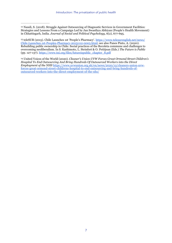<span id="page-10-0"></span><sup>[12](#page-8-1)</sup> Nandi, S. (2018). Struggle Against Outsourcing of Diagnostic Services in Government Facilities: Strategies and Lessons From a Campaign Led by Jan Swasthya Abhiyan (People's Health Movement) in Chhattisgarh, India. *Journal of Social and Political Psychology*, 6(2), 677-695.

<span id="page-10-1"></span><sup>13</sup> teleSUR (2015). Chile Launches 1st 'People's Pharmacy'. [https://www.telesurenglish.net/news/](https://www.telesurenglish.net/news/Chile-Launches-1st-Peoples-Pharmacy-20151112-0005.html) [Chile-Launches-1st-Peoples-Pharmacy-20151112-0005.html; see also Panes Pinto, A. \(2020\).](https://www.telesurenglish.net/news/Chile-Launches-1st-Peoples-Pharmacy-20151112-0005.html)  Rebuilding public ownership in Chile: Social practices of the Recoleta commune and challenges to overcoming neoliberalism. In S. Kashimoto, L. Steinfort & O. Petitjean (Eds.) *The Future is Public* (pp. 127-137). [https://www.tni.org/files/futureispublic\\_chapter\\_8.pdf](https://www.tni.org/files/futureispublic_chapter_8.pdf)

<span id="page-10-2"></span> United Voices of the World (2020). *Cleaner's Union UVW Forces Great Ormond Street Children's* [14](#page-8-3) *Hospital To End Outsourcing And Bring Hundreds Of Outsourced Workers into the Direct Employment of the NHS* [https://www.uvwunion.org.uk/en/news/2020/12/cleaners-union-uvw](https://www.uvwunion.org.uk/en/news/2020/12/cleaners-union-uvw-forces-great-ormond-street-childrens-hospital-to-end-outsourcing-and-bring-hundreds-of-outsourced-workers-into-the-direct-employment-of-the-nhs/)[forces-great-ormond-street-childrens-hospital-to-end-outsourcing-and-bring-hundreds-of](https://www.uvwunion.org.uk/en/news/2020/12/cleaners-union-uvw-forces-great-ormond-street-childrens-hospital-to-end-outsourcing-and-bring-hundreds-of-outsourced-workers-into-the-direct-employment-of-the-nhs/)[outsourced-workers-into-the-direct-employment-of-the-nhs/](https://www.uvwunion.org.uk/en/news/2020/12/cleaners-union-uvw-forces-great-ormond-street-childrens-hospital-to-end-outsourcing-and-bring-hundreds-of-outsourced-workers-into-the-direct-employment-of-the-nhs/)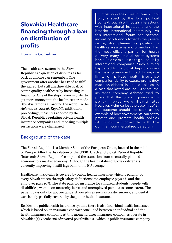## **Slovakia: Healthcare financing through a ban on distribution of profits**

Dominika Gornaľová

The health care system in the Slovak Republic is a question of disputes as far back as anyone can remember. One government after another has tried to fulfil the sacred, but still unachievable goal, of better-quality healthcare by increasing its financing. One of the steps taken in order to get more money into the health sector made Slovakia famous all around the world. In the *Achmea vs. Slovak Republic* arbitration proceeding<sup>[1](#page-16-0)</sup>, measures adopted by the Slovak Republic regulating private health insurance companies and imposing multiple restrictions were challenged.

|<br>V n most countries, health care is not only shaped by the local political context, but also through interactions with international institutions and the broader international community. As this international forum has become increasingly friendly towards the private sector, strengthening its position in health care systems and promoting it as the most efficient partner for health delivery, many national health systems have become hostage of big international companies. Such a thing happened to the Slovak Republic when the new government tried to impose limits on private health insurance companies' ability to extract profits they made on citizens' insurance policies. In a case that lasted around 10 years, the insurance company Achmea tried to prove that the Slovak government's policy moves were illegitimate. However, Achmea lost the case in 2018: the outcome should be seen as an example of how governments can act to protect and promote health policies which do not coincide with the dominant commercialized paradigm.

#### <span id="page-11-0"></span>Background of the case

The Slovak Republic is a Member State of the European Union, located in the middle of Europe. After the dissolution of the USSR, Czech and Slovak Federal Republic (later only Slovak Republic) completed the transition from a centrally planned economy to a market economy. Although the health status of Slovak citizens is currently improving, it still lags behind the EU average.

Healthcare in Slovakia is covered by public health insurance which is paid for by every Slovak citizen through salary deductions: the employee pays 4% and the employer pays 10%. The state pays for insurance for children, students, people with disabilities, women on maternity leave, and unemployed persons to some extent. The patient pays only for above-standard procedures such as plastic surgery, and dental care is only partially covered by the public health insurance.

Besides the public health insurance system, there is also individual health insurance which is based on an insurance contract concluded between an individual and the health insurance company. At this moment, three insurance companies operate in Slovakia: (1) Všeobecná zdravotná poisťovňa a.s., which is public insurance company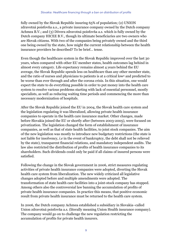fully owned by the Slovak Republic insuring 65% of population; (2) UNION zdravotná poisťovňa a.s., a private insurance company owned by the Dutch company Achmea B.V.; and (3) Dôvera zdravotná poisťovňa a.s. which is fully owned by the Dutch company HICEE B.V., though its ultimate beneficiaries are two owners who are Slovak citizens. With two of the companies being privately owned and the third one being owned by the state, how might the current relationship between the health insurance providers be described? To be brief… tense.

<span id="page-12-0"></span>Even though the healthcare system in the Slovak Republic improved over the last 30 years, when compared with other EU member states, health outcomes lag behind in almost every category. Life expectancy remains almost 4 years behind the EU average, the Slovak Republic spends less on healthcare than any other member state, and the ratio of nurses and physicians to patients is at a critical low<sup>[2](#page-16-1)</sup> and predicted to be worse than ever through and after the corona crisis. In this situation, one would expect the state to do everything possible in order to put money into the health care system to resolve various problems starting with lack of essential personnel, mostly specialists, as well as reducing waiting time periods and commencing the more than necessary modernization of hospitals.

After the Slovak Republic joined the EU in 2004, the Slovak health care system and the legislation regulating it was liberalized, allowing private health insurance companies to operate in the health care insurance market. Other changes, made before Slovakia joined the EU or shortly after (between 2003-2005), were focused on privatization. The legislation changed the form of establishment of insurance companies, as well as that of state health facilities, to joint stock companies. The aim of the new legislation was mostly to introduce new budgetary restrictions (the state is not liable for insolvency, *i.e* in the event of bankruptcy, the debt shall not be relieved by the state), transparent financial relations, and mandatory independent audits. The law also restricted the distribution of profits of health insurance companies to its shareholders. Such dividends could only be paid if all claims of insured persons were satisfied.

Following the change in the Slovak government in 2006, strict measures regulating activities of private health insurance companies were adopted, diverting the Slovak health care system from liberalization. The new widely criticized all legislative changes adopted before and multiple amendments were adopted. The transformation of state health care facilities into a joint-stock company has stopped. Among others also the controversial law banning the accumulation of profits of private health insurance companies. In practice this means, that positive economic result from private health insurance must be returned to the health care system.

In 2006, the Dutch company Achmea established a subsidiary in Slovakia–called Union zdravotná poisťovňa a.s. (literally meaning Union Health insurance company). The company would go on to challenge the new regulation restricting the accumulation of profits for private health insurers.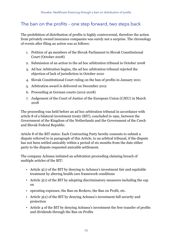#### The ban on the profits – one step forward, two steps back

The prohibition of distribution of profits is highly controversial, therefore the action from privately owned insurance companies was surely not a surprise. The chronology of events after filing an action was as follows:

- 1. Petition of 49 members of the Slovak Parliament to Slovak Constitutional Court (October 2008)
- 2. Submission of an action to the ad hoc arbitration tribunal in October 2008
- 3. Ad hoc Arbitration begins, the ad hoc arbitration tribunal rejected the objection of lack of jurisdiction in October 2010
- 4. Slovak Constitutional Court ruling on the ban of profits in January 2011
- 5. Arbitration award is delivered on December 2012
- 6. Proceeding at German courts (2012-2018)
- 7. Judgement of the Court of Justice of the European Union (CJEU) in March 2018

The proceeding was held before an ad hoc arbitration tribunal in accordance with article 8 of a bilateral investment treaty (BIT), concluded in 1991, between the Government of the Kingdom of the Netherlands and the Government of the Czech and Slovak Federal Republic.

Article 8 of the BIT states: Each Contracting Party hereby consents to submit a dispute referred to in paragraph of this Article, to an arbitral tribunal, if the dispute has not been settled amicably within a period of six months from the date either party to the dispute requested amicable settlement.

The company Achmea initiated an arbitration proceeding claiming breach of multiple articles of the BIT:

- Article 3(1) of the BIT by denying to Achmea's investment fair and equitable treatment by altering health care framework conditions
- Article 3(1) of the BIT by adopting discriminatory measures including the cap on
- operating expenses, the Ban on Brokers, the Ban on Profit, etc.
- Article 3(2) of the BIT by denying Achmea's investment full security and protection
- Article 4 of the BIT by denying Achmea's investment the free transfer of profits and dividends through the Ban on Profits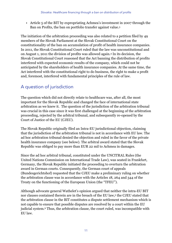<span id="page-14-1"></span><span id="page-14-0"></span>• Article 5 of the BIT by expropriating Achmea's investment in 2007 through the Ban on Profits, the ban on portfolio transfer against value[.3](#page-16-2)

The initiation of the arbitration proceeding was also related to a petition filed by 49 members of the Slovak Parliament at the Slovak Constitutional Court on the constitutionality of the ban on accumulation of profit of health insurance companies. In 2011, the Slovak Constitutional Court ruled that the law was unconstitutional and on August 1, 2011 the division of profits was allowed again[.](#page-16-3) In its decision, the [4](#page-16-3) Slovak Constitutional Court reasoned that the Act banning the distribution of profits interfered with expected economic results of the company, which could not be anticipated by the shareholders of health insurance companies. At the same time, the Act interfered with the constitutional right to do business, the right to make a profit and, foremost, interfered with fundamental principles of the rule of law.

#### A question of jurisdiction

The question which did not directly relate to healthcare was, after all, the most important for the Slovak Republic and changed the face of international state arbitration as we knew it. The question of the jurisdiction of the arbitration tribunal was crucial in this case since it was first challenged at the beginning of the arbitration proceeding, rejected by the arbitral tribunal, and subsequently re-opened by the Court of Justice of the EU (CJEU).

The Slovak Republic originally filed an Intra-EU jurisdictional objection, claiming that the jurisdiction of the arbitration tribunal is not in accordance with EU law. The ad hoc arbitration tribunal denied the objection and ruled in the favor of the private health insurance company (see below). The arbitral award stated that the Slovak Republic was obliged to pay more than EUR 22 mil to Achmea in damages.

Since the ad hoc arbitral tribunal, constituted under the UNCITRAL Rules (the United Nations Commission on International Trade Law), was seated in Frankfurt, Germany, the Slovak Republic initiated the proceeding to overturn the arbitration award in German courts. Consequently, the German court of appeals (Bundesgerichtshof) requested that the CJEU make a preliminary ruling on whether the arbitration clause was in accordance with the Articles 18, 264 and 344 of the Treaty on the functioning of the European Union (the "TFEU").

<span id="page-14-3"></span><span id="page-14-2"></span>Although advocate general Wathelet's opinion argued that neither the intra-EU BIT nor clauses contained therein are in the breach of the EU law[,](#page-16-4)<sup>[5](#page-16-4)</sup> the CJEU stated that the arbitration clause in the BIT constitutes a dispute settlement mechanism which is not capable to ensure that possible disputes are resolved by a court within the EU judicial system.<sup>[6](#page-16-5)</sup> Thus, the arbitration clause, the court ruled, was incompatible with EU law.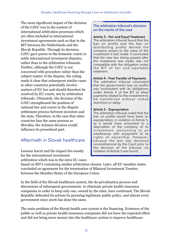The most significant impact of the decision of the CJEU was in the context of international arbitration processes which are often included in international investment agreements such as that in the BIT between the Netherlands and the Slovak Republic. Through its decision, CJEU gave power to the domestic courts to settle international investment disputes, rather than to the arbitration tribunals. Further, although the CJEU is not concerned with procedure rather than the subject matter of the dispute, the ruling made it clear that subsequent similar cases in other countries potentially involve matters of EU law and should therefore be resolved by EU courts, not by arbitration tribunals. Ultimately, the decision of the CJEU strengthened the position of national law and courts in the dispute settlement process between investors and the state. Therefore, in the case that other countries face the same process as Slovakia, the Achmea decision would influence its procedural part.

### Aftermath in Slovak healthcare

Lessons learnt and the impact lies mostly for the international investment arbitration which was in the intra EU cases

#### The arbitration tribunal's decision on the merits of the case

#### **Article 3 – Fair and Equal Treatment**

The arbitration tribunal found that the ban on profits and the ban on distributing profits denied the company access to the value of the investment it had made. It concluded that the new law, being passed after the investment was made, was not compatible with the obligation under the BIT of fair and equitable treatment.

#### **Article 4 – Free Transfer of Payments**

The arbitration tribunal concluded that the government's ban on profits was inconsistent with its obligations under Article 4 of the BIT to allow payments related to the investment to be transferred without undue restriction or delay.

#### **Article 5 – Expropriation**

The arbitration tribunal noted that the ban on profits would have been an expropriation, in violation of Article 5, as it would have amounted to a deprivation of the company of its investment, amounting to an interference with enjoyment of its rights of ownership. However, because the ban was declared unconstitutional by the Court prior to the decision of the tribunal, no violation of Article 5 was found.

based on BIT's containing similar arbitration clauses. Later, all EU member states concluded an agreement for the termination of Bilateral Investment Treaties between the Member States of the European Union.

In the field of the Slovak healthcare system, the de-privatization process and discussions of subsequent governments to eliminate private health insurance companies in order to keep only one, owned by the state, have continued. The Slovak Republic defended its actions by pursuing legitimate public policy, and almost every government since 2006 has done the same.

The main problem of the Slovak health care system is the financing. Existence of the public as well as private health insurance companies did not have the expected effect and did not bring more money into the healthcare system to improve healthcare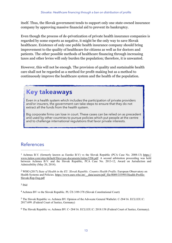itself. Thus, the Slovak government tends to support only one state-owned insurance company by approving massive financial aid to prevent its bankruptcy.

Even though the process of de-privatization of private health insurance companies is regarded by some experts as negative, it might be the only way to save Slovak healthcare. Existence of only one public health insurance company should bring improvement to the quality of healthcare for citizens as well as for doctors and patients. The other possible methods of healthcare financing through increasing taxes and other levies will only burden the population; therefore, it is unwanted.

However, this will not be enough. The provision of quality and sustainable health care shall not be regarded as a method for profit-making but as a method to continuously improve the healthcare system and the health of the population.

## **Key takeaways**

Even in a health system which includes the participation of private providers and/or insurers, the government can take steps to ensure that they do not extract all the funds from the health system.

Big corporate firms can lose in court. These cases can be relied on as precedent and used by other countries to pursue policies which put people at the centre and to challenge international regulations that favor private interests.

#### References

<span id="page-16-1"></span><sup>[2](#page-12-0)</sup> WHO (2017) *State of Health in the EU. Slovak Republic. Country Health Profile. European Observatory on* Health Systems and Policies. [https://www.euro.who.int/\\_\\_data/assets/pdf\\_file/0009/355995/Health-Profile-](https://www.euro.who.int/__data/assets/pdf_file/0009/355995/Health-Profile-Slovak-Rep-Eng.pdf)[Slovak-Rep-Eng.pdf](https://www.euro.who.int/__data/assets/pdf_file/0009/355995/Health-Profile-Slovak-Rep-Eng.pdf)

<span id="page-16-2"></span><sup>[3](#page-14-0)</sup> Ibid

<span id="page-16-3"></span>Achmea BV vs the Slovak Republic. PL ÚS 3/09-378 (Slovak Constitutional Court) [4](#page-14-1)

<span id="page-16-4"></span><sup>[5](#page-14-2)</sup> The Slovak Republic vs. Achmea BV. Opinion of the Advocate General Wathelet. C-284/16. ECLI:EU:C: 2017:699. (Federal Court of Justice, Germany)

<span id="page-16-5"></span>The Slovak Republic vs. Achmea BV. C-284/16. ECLI:EU:C: 2018:158 (Federal Court of Justice, Germany). [6](#page-14-3)

<span id="page-16-0"></span><sup>&</sup>lt;sup>1</sup> Achmea B.V. (formerly known as Eureko B.V) vs the Slovak Republic (PCA Case No. 2008-13) [https://](https://www.italaw.com/sites/default/files/case-documents/italaw3206.pdf) [www.italaw.com/sites/default/files/case-documents/italaw3206.pdf.](https://www.italaw.com/sites/default/files/case-documents/italaw3206.pdf) A second arbitration proceeding was held between Achmea B.V. and the Slovak Republic, PCA Case No. 2013-12, Award on Jurisdiction and Admissibility (May 20, 2014).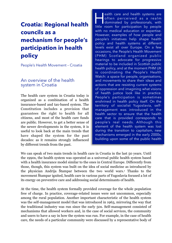## **Croatia: Regional health councils as a mechanism for people's participation in health policy**

People's Health Movement – Croatia

#### An overview of the health system in Croatia

The health care system in Croatia today is organized as a combination of a health insurance-based and tax-based system. The Constitution includes a provision that guarantees the right to health for all citizens, and most of the health care funds are public. However, to get a better sense of the newer developments in the system, it is useful to look back at the main trends that have shaped the system for the past decades: as it remains strongly influenced by different trends from the past.

ealth care and health systems are<br>often perceived as a realm<br>dominated by professionals, with<br>little room for participation by people often perceived as a realm dominated by professionals, with little room for participation by people with no medical education or expertise. However, examples of how people and people's initiatives help shape health policy and health systems at different levels exist all over Europe. On a few occasions, the People's Health Movement (PHM) Scotland organized public hearings to advocate for progressive material to be included in Scottish public health policy, and at the moment PHM UK is coordinating the People's Health Watch: a space for people, organisations, and movements to share their ideas and actions that are resisting current systems of oppression and imagining what visions of health justice look like in practice. People's participation is sometimes enshrined in health policy itself. On the territory of socialist Yugoslavia, selfmanagement was introduced in the health sector to ensure that the health care that is provided corresponds to people's real needs. Although this element of the health system was lost during the transition to capitalism, new mechanisms emerged in the early 2000s, building upon some of the public health

<span id="page-17-0"></span>We can speak of two main trends in health care in Croatia in the last 50 years. Until the 1990s, the health system was operated as a universal public health system based with a health insurance model similar to the ones in Central Europe. Differently from those, though, this system was built on the idea of social medicine as introduced by the physician Andrija Štampar between the two world wars.<sup>[1](#page-23-0)</sup> Thanks to the movement Štampar ignited, health care in various parts of Yugoslavia focused a lot of its energy on preventive care and addressing social determinants of health.

At the time, the health system formally provided coverage for the whole population free of charge. In practice, coverage-related issues were not uncommon, especially among the rural population. Another important characteristic of the health system was the self-management model that was introduced in 1963, mirroring the way that the traditional industry was run since the early 50s. Self-management consisted of mechanisms that allowed workers and, in the case of social services, the community and users to have a say in how the system was run. For example, in the case of health care, the needs of a particular community were discussed by a representative body of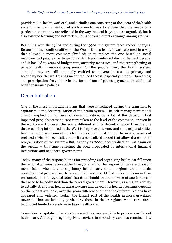providers (i.e. health workers), and a similar one consisting of the users of the health system. The main intention of such a model was to ensure that the needs of a particular community are reflected in the way the health system was organized, but it also fostered learning and network building through direct exchange among groups.[2](#page-23-1)

<span id="page-18-2"></span><span id="page-18-1"></span><span id="page-18-0"></span>Beginning with the 1980s and during the 1990s, the system faced radical changes. Because of the conditionalities of the World Bank's loans, it was reformed in a way that allowed a more commercialized vision to replace the one based on social medicine and people's participation.<sup>[3](#page-23-2)</sup> This trend continued during the next decade, and it has led to years of budget cuts, austerity measures, and the strengthening of privatehealth insurance companies.<sup>[4](#page-23-3)</sup> For the people using the health system, although they are still nominally entitled to universal access to primary and secondary health care, this has meant reduced access (especially in non-urban areas) and participation fees, either in the form of out-of-pocket payments or additional health insurance policies.

#### Decentralization

One of the most important reforms that were introduced during the transition to capitalism is the decentralization of the health system. The self-management model already implied a high level of decentralization, as a lot of the decisions that impacted people's access to care were taken at the level of the commune, or even in the workplace. However, this was a different kind of decentralization than the one that was being introduced in the West to improve efficiency and shift responsibilities from the state government to other levels of administration. The new government replaced socialist decentralization with a centralized model that allowed a complete reorganizationof the system.<sup>[5](#page-23-4)</sup> But, as early as 2000, decentralization was again on the agenda – this time reflecting the idea propagated by international financial institutions and neoliberal governments.

<span id="page-18-3"></span>Today, many of the responsibilities for providing and organizing health car fall upon the regional administration of the 21 regional units. The responsibilities are probably most visible when it comes primary health care, as the regions are the main coordinator of primary health care on their territory. At first, this sounds more than reasonable, as the regional administration should be more aware of specific needs that need to be addressed than the central government. However, as a region's ability to actually strengthen health infrastructure and develop its health programs depends on the budget available, over the years differences among the different regions have appeared and widened. Today, the largest part of the health network gravitates towards urban settlements, particularly those in richer regions, while rural areas tend to get limited access to even basic health care.

Transition to capitalism has also increased the space available to private providers of health care. Although usage of private services in secondary care has remained low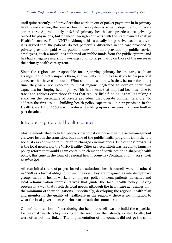<span id="page-19-0"></span>until quite recently, and providers that work on out of pocket payments in in primary health care are rare, the primary health care system is actually dependent on private contractors. Approximately 70[%](#page-23-5) of primary health care practices are privately owned by physicians, but financed through contracts with the state owned Croatian Health Insurance Fund (CHIF). Although this is usually not perceived as an issue, as it is argued that the patients do not perceive a difference in the care provided by private providers paid with public money and that provided by public service employees, such a model has siphoned off public funds from the public system, and has had a negative impact on working conditions, primarily on those of the nurses in the primary health care system.

Since the regions are responsible for organizing primary health care, such an arrangement directly impacts them, and we will cite in the case study below practical concerns that have come out it. What should be said now is that, because for a long time they were not expected to, most regions neglected to develop their own capacities for shaping health policy. This has meant that they had been less able to track and address even those things that require little funding, as well as taking a stand on the percentage of private providers that operate on their territory. To address the first issue – building health policy capacities – a new provision in the Health Care Act of 2008 was introduced, building upon structures that were built in past decades.

#### Introducing regional health councils

Most elements that included people's participation present in the self-management era were lost in the transition, but some of the public health programs from the late socialist era continued to function in changed circumstances. One of these programs is the local network of the WHO Healthy Cities project, which was used in to launch a policy reform that would again contain an element of participation in shaping health policy, this time in the form of regional health councils (Croatian: *županijski savjeti za zdravlje*).

After an initial round of project-based consultations, health councils were introduced in 2008 as a formal obligation of each region. They are imagined as interdisciplinary groups made of health workers, employers, policy officers, patients' delegates and local administration representatives that guide the local health policy making process in a way that it reflects local needs. Although the healthcare act defines only the minimum of their obligations – specifically, developing the regional health plan and monitoring the quality of healthcare in the region – there is no limitation to what the local government can chose to consult the councils about.

One of the intentions of introducing the health councils was to build the capacities for regional health policy making on the resources that already existed locally, but were often not interlinked. The implementation of the councils did not go the same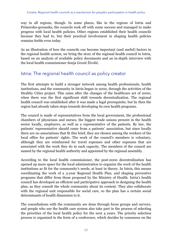way in all regions, though. In some places, like in the regions of Istria and Primorsko-goranska, the councils took off with some success and managed to make progress with local health policies. Other regions established their health councils because they had to, but their practical involvement in shaping health policies remains feeble even today.

As an illustration of how the councils can become important (and useful) factors in the regional health system, we bring the story of the regional health council in Istria, based on an analysis of available policy documents and an in-depth interview with the local health commissioner Sonja Grozić Živolić.

#### Istria: The regional health council as policy creator

The first attempts to build a stronger network among health professionals, health institutions, and the community in Istria began in 2002, through the activities of the Healthy Cities project. This came after the changes of the healthcare act of 2000, when there was the first significant shift towards decentralization. The regional health council was established after it was made a legal prerequisite, but by then the region had already taken steps towards developing its own health programs.

The council is made of representatives from the local government, the professional chambers of physicians and nurses, the biggest trade unions present in the health sector locally, employers, as well as a representative of the patients. By law, the patients' representative should come from a patients' association, but since locally there are no associations that fit this brief, they are chosen among the workers of the local office for patients' rights. The work of the council's members is voluntary, although they are reimbursed for travel expenses and other expenses that are associated with the work they do in such capacity. The members of the council are named by the regional health authority and appointed by the regional assembly.

According to the local health commissioner, the post-2000 decentralization has opened up more space for the local administration to organize the work of the health institutions as fit for the community's needs, at least in theory. In Istria, this means coordinating the work of a 3-year Regional Health Plan, and shaping preventive programs that differ from those proposed by the Ministry of Health. Istria's health council has developed an efficient and participative approach to designing the health plan, as they consult the whole community about its content. They also collaborate with the regional unit responsible for social care, so the plan has a certain social determinants of health dimension to it.

The consultations with the community are done through focus groups and surveys, and people who use the health care system also take part in the process of selecting the priorities of the local health policy for the next 4 years. The priority selection process is organized in the form of a conference, which decides by consensus on the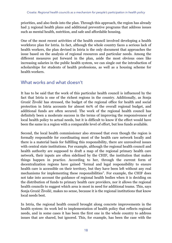priorities, and also feeds into the plan. Through this approach, the region has already had 3 regional health plans and additional preventive programs that address issues such as mental health, nutrition, and safe and affordable housing.

One of the most recent activities of the health council involved developing a health workforce plan for Istria. In fact, although the whole country faces a serious lack of health workers, the plan devised in Istria is the only document that approaches the issue based on the analysis of regional resources and particular needs. Among the different measures put forward in the plan, aside the most obvious ones like increasing salaries in the public health system, we can single out the introduction of scholarships for students of health professions, as well as a housing scheme for health workers.

#### What works and what doesn't

It has to be said that the work of this particular health council is influenced by the fact that Istria is one of the richest regions in the country. Additionally, as Sonja Grozić Živolić has stressed, the budget of the regional office for health and social protection in Istria accounts for almost 60% of the overall regional budget, and additional funds are often secured. The work of the regional health council has definitely been a moderate success in the terms of improving the responsiveness of local health policy to actual needs, but it is difficult to know if the effect would have been the same in a region with a comparable level of effort, but less funds available.

Second, the local health commissioner also stressed that even though the region is formally responsible for coordinating most of the health care network locally and there is a material basis for fulfilling this responsibility, there are unresolved issues with central state institutions. For example, although the regional health council and health authority are supposed to draft a map of the regional primary health care network, their inputs are often sidelined by the CHIF, the institution that makes things happen in practice. According to her, through the current form of decentralization regions have gained "formal and legal responsibility to ensure health care is accessible on their territory, but they have been left without any real mechanisms for implementing these responsibilities". For example, the CHIF does not take into account the guidance of regional health bodies when it is deciding on the distribution of funds to primary health care providers, nor it allows the regional health councils to suggest which area is most in need for additional teams. This, says Sonja Grozić Živolić, makes no sense, because it is the regional institutions that know local needs best.

In Istria, the regional health council brought along concrete improvements in the health system: its work led to implementation of health policy that reflects regional needs, and in some cases it has been the first one in the whole country to address issues that are shared, but ignored. This, for example, has been the case with the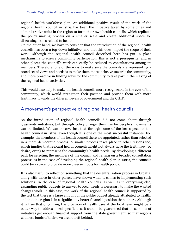regional health workforce plan. An additional positive result of the work of the regional health council in Istria has been the initiative taken by some cities and administrative units in the region to form their own health councils, which replicate the policy making process on a smaller scale and create additional space for discussing issues related to health.

On the other hand, we have to consider that the introduction of the regional health councils has been a top-down initiative, and that this does impact the scope of their work. Although the regional health council described here has put in place mechanisms to ensure community participation, this is not a prerequisite, and in other places the council's work can easily be reduced to consultations among its members. Therefore, one of the ways to make sure the councils are representing a broad set of views and needs is to make them more inclusive towards the community, and more proactive in finding ways for the community to take part in the making of the regional health activities.

This would also help to make the health councils more recognizable in the eyes of the community, which would strengthen their position and provide them with more legitimacy towards the different levels of government and the CHIF.

#### A movement's perspective of regional health councils

As the introduction of regional health councils did not come about through grassroots initiatives, but through policy change, their use for people's movements can be limited. We can observe just that through some of the key aspects of the health council in Istria, even though it is one of the most successful instances. For example, the members of the health council there are appointed, rather than selected in a more democratic process. A similar process takes place in other regions too, which implies that regional health councils might not always have the legitimacy (or desire, even) to represent the community's health needs. By developing a different path for selecting the members of the council and relying on a broader consultation process as in the case of developing the regional health plan in Istria, the councils could be a space to provide more diverse inputs for health policy.

It is also useful to reflect on something that the decentralization process in Croatia, along with those in other places, have shown when it comes to implementing such solutions. In the case of regional health councils, as well as in everything else, expanding public budgets to answer to local needs is necessary to make the wanted changes work. In this case, the work of the regional health council is supported by the fact that there is a large amount of the public budget already attributed to health, and that the region is in a significantly better financial position than others. Although it is true that organizing the provision of health care at the local level might be a better way to address local specificities, it should be guaranteed that these kinds of initiatives get enough financial support from the state government, so that regions with less funds of their own are not left behind.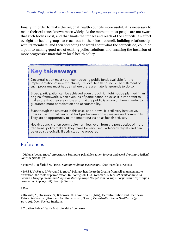Finally, in order to make the regional health councils more useful, it is necessary to make their existence known more widely. At the moment, most people are not aware that such bodies exist, and that limits the impact and reach of the councils. An effort by right to health groups to reach out to their local council, building relationships with its members, and then spreading the word about what the councils do, could be a path to making good use of existing policy solutions and ensuring the inclusion of more progressive materials in local health policy.

## **Key takeaways**

Decentralization must not mean reducing public funds available for the implementation of new structures, like local health councils. The fulfilment of such programs must happen where there are material grounds to do so.

Broad participation can be achieved even though it might not be planned in an original framework. When avenues of participation do exist, it is important to make sure that they are visible and that the public is aware of them in order to guarantee more participation and accountability.

Even though the structure in this case is top-down, it is still very instructive. Spaces like this that can build bridges between policy makers and community. They are an opportunity to implement our vision as health activists.

Health councils often seem quite harmless, even from the perspective of more traditional policy makers. They make for very useful advocacy targets and can be used strategically if activists come prepared.

#### References

<span id="page-23-0"></span>Džakula A et al. (2017) Are Andrija Štampar's principles gone - forever and ever? *Croatian Medical* [1](#page-17-0) *Journal* 58(372-376)

<span id="page-23-1"></span>Popović B. & Škrbić M. (1968) *Samoupravljanje u zdravstvu*. Zbor liječnika Hrvatske [2](#page-18-0)

<span id="page-23-2"></span>Ivčić S, Vračar A & Weygand L. (2017) Primary healthcare in Croatia from self-management to [3](#page-18-1) transition: the roots of privatization. In: Bonfiglioli, C. & Koroman, B. (eds) *Zbornik odabranih radova s Drugog međunarodnog znanstvenog skupa Socijalizam na klupi. Socijalizam: Izgradnja i razgradnja* (pp. 99-128). Srednja Europa.

<span id="page-23-3"></span>[4](#page-18-2) *Ibid*

<span id="page-23-4"></span>Džakula, A., Orešković, S., Brborović, O. & Vončina, L. (2005) Decentralization and Healthcare [5](#page-18-3) Reform in Croatia 1980-2002. In: Shakarishvili, G. (ed.) *Decentralization in Healthcare* (pp. 135-190). Open Society Institute.

<span id="page-23-5"></span>[6](#page-19-0) Croatian Public Health Institute, data from 2019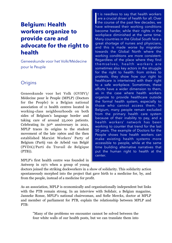## **Belgium: Health workers organize to provide care and advocate for the right to health**

Geneeskunde voor het Volk/Médecine pour le Peuple

#### **Origins**

Geneeskunde voor het Volk (GVHV)/ Médecine pour le Peuple (MPLP) (Doctors for the People) is a Belgian national association of 11 health centres located in working-class neighbourhoods on both sides of Belgium's language border and taking care of around 25,000 patients. Celebrating its 50th anniversary in 2021, MPLP traces its origins to the student movement of the late 1960s and the then established Marxist Workers' Party of Belgium (Partij van de Arbeid van België (PVDA)/Parti du Travail de Belgique (PTB)).

MPLP's first health centre was founded in Antwerp in 1971 when a group of young

 $\prod_{h_i}$ t is needless to say that health workers are a crucial driver of health for all. Over the course of the past few decades, we have witnessed their working conditions become harder, while their rights in the workplace diminished at the same time. Many countries in the Global South face a great shortage of nurses and physicians, and this is made worse by migration towards the Global North where the working conditions are more consistent. Regardless of the place where they find themselves, health workers are sometimes also key actors in the struggle for the right to health: from strikes to protests, they show how our right to healthcare is intertwined with their right to a safe workplace. Sometimes, these efforts have a wider dimension to them, as in the case where health workers organize to provide healthcare outside the formal health system, especially to those who cannot access them. In Belgium, many people remain excluded from the primary health care system because of their inability to pay, and a health workers' network has been working to counter that trend for the last 50 years. The example of Doctors for the People shows how health workers can make existing health systems more accessible to people, while at the same time building alternative narratives that put the human right to health at the center.

doctors joined the striking dockworkers in a show of solidarity. This solidarity action spontaneously morphed into the project that gave birth to a medicine for, by, and from the people, instead of a medicine for profit.

As an association, MPLP is economically and organisationally independent but links with the PTB remain strong. In an interview with Solidair, a Belgian magazine, Janneke Ronse, MPLP's national chairwoman, and Sofie Merckx, doctor at MPLP and member of parliament for PTB, explain the relationship between MPLP and PTB:

"Many of the problems we encounter cannot be solved between the four white walls of our health posts, but we can translate them into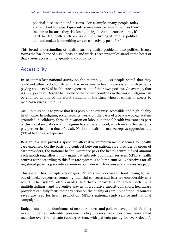political discussions and actions. For example, many people today are reluctant to respect quarantine measures because it reduces their income or because they risk losing their job. As a doctor or nurse, it's hard to deal with such an issue. But turning it into a political demand makes it something we can collectively push for."

This broad understanding of health, turning health problems into political issues, forms the backbone of MPLP's vision and work. Three principles stand at the heart of that vision: accessibility, quality and solidarity.

#### Accessibility

In Belgium's last national survey on the matter, 900,000 people stated that they could not afford a doctor. Belgium has an expensive health care system, with patients paying about 19 % of health care expenses out of their own pockets. On average, that is €666 per year. Despite being one of the richest countries in the world, Belgium can be counted as one of the worst students of the class when it comes to access to medical services in the EU.

MPLP's mission is to prove that it is possible to organise accessible and high-quality health care. In Belgium, social security works on the basis of a pay-as-you-go system grounded in solidarity through taxation on labour. National health insurance is part of this social security system. Belgium has a liberal model, which means that patients pay per service for a doctor's visit. National health insurance repays approximately 75% of health care expenses.

Belgian law also provides space for alternative reimbursement schemes for health care expenses. On the basis of a contract between patient, care provider or group of care providers, the national health insurance pays the health centre a fixed amount each month regardless of how many patients rely upon their services. MPLP's health centres work according to this flat-rate system. The lump sum MPLP receives for all registered patients goes into a common pot from which expenses and wages are paid.

This system has multiple advantages. Patients visit doctors without having to pay out-of-pocket expenses, removing financial concerns and barriers considerably as a result. The system also enables healthcare providers to work both in a multidisciplinary and preventive way as in a curative capacity. In short, healthcare providers can fully focus their attention on the quality of care. In addition, resources saved are used for health promotion, MPLP's national study service and national campaigns.

Budget cuts and the dominance of neoliberal ideas and policies have put this funding model under considerable pressure. Policy makers favor performance-oriented medicine over the flat-rate funding system, with patients paying for every doctor's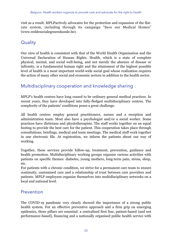visit as a result. MPLPactively advocates for the protection and expansion of the flatrate system, including through its campaign "Save our Medical Homes" [\(www.reddesocialegeneeskunde.be](http://www.reddesocialegeneeskunde.be)).

#### **Quality**

Our view of health is consistent with that of the World Health Organisation and the Universal Declaration of Human Rights. Health, which is a state of complete physical, mental, and social well-being, and not merely the absence of disease or infirmity, is a fundamental human right and the attainment of the highest possible level of health is a most important world-wide social goal whose realization requires the action of many other social and economic sectors in addition to the health sector.

#### Multidisciplinary cooperation and knowledge sharing

MPLP's health centres have long ceased to be ordinary general medical practices. In recent years, they have developed into fully-fledged multidisciplinary centres. The complexity of the patients' conditions poses a great challenge.

All health centres employ general practitioners, nurses and a reception and administration team. Most also have a psychologist and/or a social worker. Some practices have dieticians and physiotherapists. The staff works together on an equal footing to provide the best care for the patient. This cooperation takes place through consultations, briefings, medical and team meetings. The medical staff work together in one electronic file. At registration, we inform the patients about our way of working.

Together, these services provide follow-up, treatment, prevention, guidance and health promotion. Multidisciplinary working groups organise various activities with patients on specific themes: diabetes, young mothers, long-term pain, stress, sleep, etc.

For patients with a chronic condition, we strive for a permanent care team to ensure continuity, customised care and a relationship of trust between care providers and patients. MPLP employees organise themselves into multidisciplinary networks on a local and national level.

#### Prevention

The COVID-19 pandemic very clearly showed the importance of a strong public health system. For an effective preventive approach and a firm grip on emerging epidemics, three pillars are essential: a centralised first line, patient-based (and not performance-based), financing and a nationally organised public health service with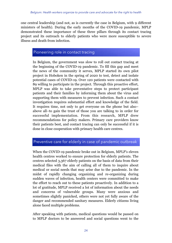one central leadership (and not, as is currently the case in Belgium, with 9 different ministers of health). During the early months of the COVID-19 pandemic, MPLP demonstrated these importance of these three pillars through its contact tracing project and its outreach to elderly patients who were more susceptible to severe illness and death from infection.

#### Pioneering role in contact tracing

In Belgium, the government was slow to roll out contact tracing at the beginning of the COVID-19 pandemic. To fill this gap and meet the news of the community it serves, MPLP started its own pilot project in Hoboken in the spring of 2020 to test, detect and isolate potential cases of COVID-19. Over 120 patients were contacted with 89 willing to participate in the project. Through this proactive effort, MPLP was able to take preventative steps to protect participant patients and their families by informing them about the virus and supporting them with measures to prevent infection. Such a contact investigation requires substantial effort and knowledge of the field. It requires time, not only to get everyone on the phone but also– above all–to gain the trust of those you are talking to in order for successful implementation. From this research, MPLP drew recommendations for policy makers. Primary care providers know their patients best, and contact tracing can only be successful if it is done in close cooperation with primary health care centres.

#### Preventive care for elderly in case of pandemic outbreak

When the COVID-19 pandemic broke out in Belgium, MPLP's eleven health centres worked to ensure protection for elderly patients. The centres selected 3,367 elderly patients on the basis of data from their medical files with the aim of calling all of them to inquire about medical or social needs that may arise due to the pandemic. In the midst of rapidly changing organizing and re-organizing during sudden waves of infection, health centers were committed to make the effort to reach out to these patients proactively. In addition to a lot of gratitude, MPLP received a lot of information about the needs and concerns of vulnerable groups. Many were anxious and sometimes slightly panicked, others were not yet fully aware of the danger and recommended sanitary measures. Elderly citizens living alone faced multiple problems.

After speaking with patients, medical questions would be passed on to MPLP doctors to be answered and social questions went to the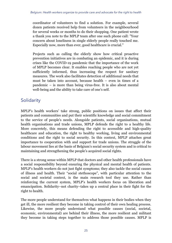coordinator of volunteers to find a solution. For example, several dozen patients received help from volunteers in the neighbourhood for several weeks or months to do their shopping. One patient wrote a thank you note to the MPLP team after one such phone call: "Your concern about loneliness in single elderly people really touched me. Especially now, more than ever, good healthcare is crucial."

Projects such as calling the elderly show how critical proactive prevention initiatives are in combating an epidemic, and it is during crises like the COVID-19 pandemic that the importance of the work of MPLP becomes clear. It enables reaching people who are not yet sufficiently informed, thus increasing the respect for sanitary measures. The work also facilitates detection of additional needs that must be taken into account, because health – even in times of a pandemic – is more than being virus-free. It is also about mental well-being and the ability to take care of one's self.

#### **Solidarity**

MPLP's health workers' take strong, public positions on issues that affect their patients and communities and put their scientific knowledge and social commitment to the service of people's needs. Alongside patients, social organisations, mutual health organisations and trade unions, MPLP defends the right to a healthy life. More concretely, this means defending the right to accessible and high-quality healthcare and education, the right to healthy working, living and environmental conditions and the right to social security. In this context, MPLP attaches great importance to cooperation with and support for trade unions. The struggle of the labour movement lies at the basis of Belgium's social security system and is critical to maintaining and strengthening the people's acquired social rights.

There is a strong sense within MPLP that doctors and other health professionals have a social responsibility beyond ensuring the physical and mental health of patients. MPLP's health workers do not just fight symptoms; they also tackle the social causes of illness and health. Their "social stethoscope", with particular attention to the social and societal context, is the main research tool they use. Rather than reinforcing the current system, MPLP's health workers focus on liberation and emancipation. Solidarity–not charity–takes up a central place in their fight for the right to health.

The more people understand for themselves what happens in their bodies when they get ill, the more resilient they become in taking control of their own healing process. Likewise, the more people understand what possible causes (social, societal, economic, environmental) are behind their illness, the more resilient and militant they become in taking steps together to address those possible causes. MPLP is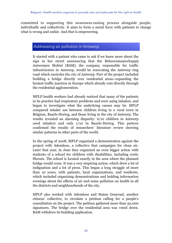committed to supporting this awareness-raising process alongside people, individually and collectively. It aims to form a social force with patients to change what is wrong and unfair. And *that* is empowering.

#### Addressing air pollution in Antwerp

It started with a patient who came to ask if we knew more about the sign in her street announcing that the Beheersmaatschappij Antwerpen Mobiel (BAM), the company responsible for traffic infrastructure in Antwerp, would be renovating the Antwerp ring road which encircles the city of Antwerp. Part of the project included building a bridge directly over residential areas–expanding the busiest traffic junction in Europe which already cuts directly through the residential agglomeration.

MPLP health workers had already noticed that many of the patients in its practice had respiratory problems and were using inhalers, and began to investigate what the underlying causes may be. MPLP compared inhaler use between children living in a rural town in Belgium, Baarle-Hertog, and those living in the city of Antwerp. The results revealed an alarming disparity: 6/10 children in Antwerp used inhalers and only 1/10 in Baarle-Hertog. This pattern confirmed the results of researchers' literature review showing similar patterns in other parts of the world.

In the spring of 2008, MPLP organized a demonstration against the project with Ademloos, a collective that campaigns for clean air. Later that year, in June they organized an even bigger action with students of a school for children with disabilities, including cystic fibrosis. The school is located exactly in the area where the planned bridge would cross. It was a very inspiring action, which drew a lot of indignation and a lot of press. This began a long struggle of more than 10 years, with patients, local organizations, and residents, which included organizing demonstrations and holding information evenings about the effects of air and noise pollution on health in all the districts and neighbourhoods of the city.

MPLP also worked with Ademloos and Staten Generaal, another citizens' collective, to circulate a petition calling for a people's consultation on the project. The petition gathered more than 50,000 signatures. The bridge over the residential area was voted down. BAM withdrew its building application.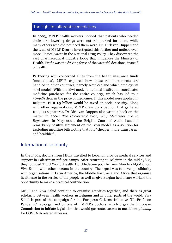#### The fight for affordable medicines

In 2003, MPLP health workers noticed that patients who needed cholesterol-lowering drugs were not reimbursed for them, while many others who did not need them were. Dr. Dirk van Duppen and the team of MPLP Deurne investigated this further and noticed even more illogical waste in the National Drug Policy. They discovered the vast pharmaceutical industry lobby that influences the Ministry of Health. Profit was the driving force of the wasteful decisions, instead of health.

Partnering with concerned allies from the health insurance funds (mutualities), MPLP explored how these reimbursements are handled in other countries, namely New Zealand which employs its 'kiwi model'. With the kiwi model a national institution coordinates medicine purchases for the entire country, which has led to a 50-90% drop in the price of medicines. If this model were applied in Belgium, EUR 1.5 billion would be saved on social security. Along with other organizations, MPLP drew up a petition that gathered 100,000 signatures. Dr Dirk van Duppen also wrote a book on the matter in 2004: *The Cholesterol War, Why Medicines are so Expensive*. In May 2021, the Belgian Court of Audit issued a remarkably positive statement on the 'kiwi model' as a solution for exploding medicine bills noting that it is "cheaper, more transparent and healthier".

#### International solidarity

In the 1970s, doctors from MPLP travelled to Lebanon provide medical services and support in Palestinian refugee camps. After returning to Belgium in the mid-1980s, they founded Third World Health Aid (Médecine pour le Tiers Monde - M3M), now Viva Salud, with other doctors in the country. Their goal was to develop solidarity with organisations in Latin America, the Middle East, Asia and Africa that organise healthcare in the service of the people as well as give Belgian healthcare workers the opportunity to make a practical contribution.

MPLP and Viva Salud continue to organise activities together, and there is great solidarity between health workers in Belgium and in other parts of the world. Viva Salud is part of the campaign for the European Citizens' Initiative "No Profit on Pandemic", co-organized by one of MPLP's doctors, which urges the European Commission to initiate legislation that would guarantee access to medicines *globally*  for COVID-19 related illnesses.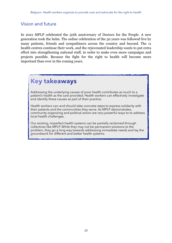#### Vision and future

In 2021 MPLP celebrated the 50th anniversary of Doctors for the People. A new generation took the helm. The online celebration of the 50 years was followed live by many patients, friends and sympathisers across the country and beyond. The 11 health centres continue their work, and the rejuvenated leadership wants to put extra effort into strengthening national staff, in order to make even more campaigns and projects possible. Because the fight for the right to health will become more important than ever in the coming years.

## **Key takeaways**

Addressing the underlying causes of poor health contributes as much to a patient's health as the care provided. Health workers can effectively investigate and identify these causes as part of their practice.

Health workers can–and *should*–take concrete steps to express solidarity with their patients and the communities they serve. As MPLP demonstrates, community organizing and political action are very powerful ways to to address local health challenges.

Our existing, imperfect health systems can be partially reclaimed through collectives like MPLP. While they may not be permanent solutions to the problem, they go a long way towards addressing immediate needs and lay the groundwork for different and better health systems.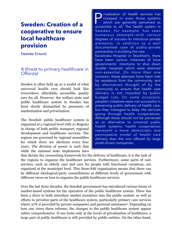## **Sweden: Creation of a cooperative to ensure local healthcare provision**

Desirée Enlund

#### A threat to primary healthcare in **Offerdal**

Sweden is often held up as a model of what universal health care should look like everywhere: affordable, accessible, quality care for all. However, the welfare state and public healthcare system in Sweden has been slowly dismantled by processes of marketization and privatization.

The Swedish public healthcare system is organized at a regional level with 21 Regions in charge of both public transport, regional development and healthcare services. The regions are governed by regional assemblies for which there are elections every four years. The division of power is such that while the national state implements laws

Privatization of health services has<br>creeped in even those systems<br>which are generally perceived as<br>accessible to all. The health system in creeped in even those systems which are generally perceived as accessible to all. The health system in Sweden, for example, has seen numerous attempts—with various degrees of success—to introduce private elements. In addition to a well documented case of public-private partnership in building the new Karolinska Hospital in Stockholm, there have been various instances of local governments' intentions to shut down smaller hospitals which were deemed non-essential. On more than one occasion, these attempts have been met by resistance from the community, and by alternatives thought of by the community to ensure that health care delivery is not impeded by public budget cuts. On some occasions, people's initiatives were not successful in preserving public delivery of health care, but they managed to keep the services going through health cooperatives. Although these should not be perceived as an alternative to universal public health systems, health cooperatives represent a more democratic and participative model of health care delivery than the one offered by large profit-driven companies.

that dictate the overarching framework for the delivery of healthcare, it is the task of the regions to organize the healthcare services. Furthermore, some parts of care services, such as elderly care and care for people with functional variations, are organized at the municipal level. This three-fold organization means that there can be different ideological/party constellations at different levels of government with different views on how to organize the public healthcare services.

<span id="page-32-1"></span><span id="page-32-0"></span>Over the last three decades, the Swedish government has introduced various forms of market-based systems for the operation of the public healthcare system. There has been a drive to both introduce market incentives into the public system as well as efforts to privatize parts of the healthcare system, particularly primary care services where 37% is provided by private companies and personal assistance[.](#page-37-1) Depending on how one views these reforms, the changes to the public healthcare system appear rather comprehensive. If one looks only at the levels of privatization of healthcare, a large part of public healthcare is still provided by public entities. On the other hand,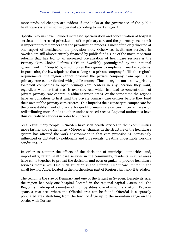<span id="page-33-0"></span>more profound changes are evident if one looks at the governance of the public healthcare system which is operated according to market logic.[3](#page-37-2)

<span id="page-33-1"></span>Specific reforms have included increased specialization and concentration of hospital services and increased privatization of the primary care and the pharmacy sectors.<sup>[4](#page-37-3)</sup> It is important to remember that the privatization process is most often only directed at one aspect of healthcare, the provision side. Otherwise, healthcare services in Sweden are still almost entirely financed by public funds. One of the most important reforms that has led to an increased privatization of healthcare services is the Primary Care Choice Reform (LOV in Swedish), promulgated by the national government in 2009-2010, which forces the regions to implement market systems. In particular, the law stipulates that as long as a private company fulfills the region's requirements, the region cannot prohibit the private company from opening a primary care center funded with public money. Thus, a region must allow private, for-profit companies to open primary care centers in any location they want, regardless whether that area is over-serviced, which has lead to concentration of private primary care centers in affluent urban areas. At the same time the regions have an obligation to first fund the private primary care centres before they fund their own public primary care centres. This impedes their capacity to compensate for the over-establishment of private, for-profit primary care centres in certain areas by redistributing more funds to other under-serviced areas.<sup>[5](#page-37-4)</sup> Regional authorities have thus centralized services in order to cut costs.

<span id="page-33-3"></span><span id="page-33-2"></span>As a result, many people in Sweden have seen health services in their communities movefarther and farther away.<sup>[6](#page-37-5)</sup> Moreover, changes in the structure of the healthcare system has affected the work environment in that care provision is increasingly influenced or dictated by politicians and bureaucrats, creating undesirable working conditions[.7](#page-37-6), [8](#page-38-0)

<span id="page-33-5"></span><span id="page-33-4"></span>In order to counter the effects of the decisions of municipal authorities and, importantly, retain health care services in the community, residents in rural areas have come together to protest the decisions and even organize to provide healthcare services themselves. One such situation is the Offerdal Healthcare Center in the small town of Änge, located in the northeastern part of Region Jämtland-Härjedalen.

The region is the size of Denmark and one of the largest in Sweden. Despite its size, the region has only one hospital, located in the regional capital Östersund. The Region is made up of a number of municipalities, one of which is Krokom. Krokom spans a vast area where the Offerdal area can be found. Offerdal is a sparsely populated area stretching from the town of Änge up to the mountain range on the border with Norway.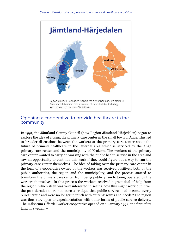

#### Opening a cooperative to provide healthcare in the community

<span id="page-34-2"></span><span id="page-34-1"></span><span id="page-34-0"></span>In 1991, the Jämtland County Council (now Region Jämtland-Härjedalen) began to explore the idea of closing the primary care center in the small town of Änge. This led to broader discussions between the workers at the primary care center about the future of primary healthcare in the Offerdal area which is serviced by the Änge primary care center and the municipality of Krokom. The workers at the primary care center wanted to carry on working with the public health service in the area and saw an opportunity to continue this work if they could figure out a way to run the primary care center themselves. The idea of taking over the primary care center in the form of a cooperative owned by the workers was received positively both by the public authorities, the region and the municipality, and the process started to transform the primary care center from being publicly run to being operated by the workers themselves. In this process the workers received a great deal of help from the region, which itself was very interested in seeing how this might work out. Over the past decades there had been a critique that public services had become overly bureaucratic and were no longer in touch with citizens' wants and needs[.](#page-38-1) The region was thus very open to experimentation with other forms of public service delivery. The Hälsorum Offerdal worker cooperative opened on 1 January 1992, the first of its kind in Sweden.[10](#page-38-2)[,11](#page-38-3)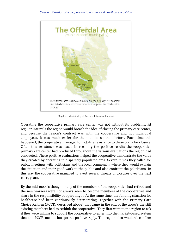

Map from Municipality of Krokom (https://krokom.se).

Operating the cooperative primary care center was not without its problems. At regular intervals the region would broach the idea of closing the primary care center, and because the region's contract was with the cooperative and not individual employees, it was much easier for them to do so than before. Each time this happened, the cooperative managed to mobilize resistance to these plans for closure. Often this resistance was based in recalling the positive results the cooperative primary care center had produced throughout the various evaluations the region had conducted. These positive evaluations helped the cooperative demonstrate the value they created by operating in a sparsely populated area. Several times they called for public meetings with politicians and the local community where they would explain the situation and their good work to the public and also confront the politicians. In this way the cooperative managed to avert several threats of closures over the next 10-15 years.

By the mid-2000's though, many of the members of the cooperative had retired and the new workers were not always keen to become members of the cooperative and share in the responsibility of operating it. At the same time, the funding situation for healthcare had been continuously deteriorating. Together with the Primary Care Choice Reform (PCCR, described above) that came in the end of the 2000's the still existing members had to rethink the cooperative. They first went to the region to ask if they were willing to support the cooperative to enter into the market-based system that the PCCR meant, but got no positive reply. The region also wouldn't confirm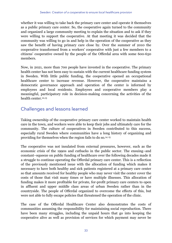whether it was willing to take back the primary care center and operate it themselves as a public primary care center. So, the cooperative again turned to the community and organized a large community meeting to explain the situation and to ask if they were willing to support the cooperative. At that meeting it was decided that the community was willing to go in and help in the operation of the cooperative as they saw the benefit of having primary care close by. Over the summer of 2010 the cooperative transformed from a workers' cooperative with just a few members to a citizens' cooperative owned by the people of the Offerdal area with some 600-650 members.

Now, in 2021, more than 700 people have invested in the cooperative. The primary health center has not been easy to sustain with the current healthcare funding system in Sweden. With little public funding, the cooperative opened an occupational healthcare center to increase revenue. However, the cooperative maintains a democratic governance approach and operation of the center is informed by employees and local residents. Employees and cooperative members play a meaningful, participatory role in decision-making concerning the activities of the health center [12,](#page-38-4)[13](#page-38-5)

#### <span id="page-36-1"></span><span id="page-36-0"></span>Challenges and lessons learned

Taking ownership of the cooperative primary care center worked to maintain health care in the town, and workers were able to keep their jobs and ultimately care for the community. The culture of cooperatives in Sweden contributed to this success, especially rural Sweden where communities have a long history of organizing and providing for themselves when the region fails to do so[.14](#page-38-6) [15](#page-38-7)

<span id="page-36-3"></span><span id="page-36-2"></span>The cooperative was not insulated from external pressures, however, such as the economic crisis of the 1990s and cutbacks in the public sector. The ensuing–and constant–squeeze on public funding of healthcare over the following decades made it a struggle to continue operating the Offerdal primary care center. This is a reflection of the previously mentioned issue with the allocation of funding which makes it necessary to have both healthy and sick patients registered at a primary care center so that amounts received for healthy people who may never visit the center cover the costs of those that visit many times or have multiple illnesses. This allocation of funding makes it more profitable for private, for-profit primary care centers to open in affluent and upper middle class areas of urban Sweden rather than in the countryside. The people of Offerdal organized to overcome the effects of this, but were not able to fully escape policies that threatened the operation of the clinic.

The case of the Offerdal Healthcare Center also demonstrates the costs of communities assuming the responsibility for maintaining social reproduction. There have been many struggles, including the unpaid hours that go into keeping the cooperative alive as well as provision of services for which payment may never be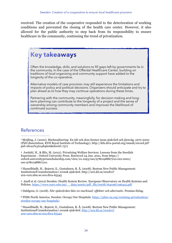received. The creation of the cooperative responded to the deterioration of working conditions and prevented the closing of the health care center. However, it also allowed for the public authority to step back from its responsibility to ensure healthcare in the community, continuing the trend of privatization.

### **Key takeaways**

Often the knowledge, skills, and solutions to fill gaps left by governments lie in the community. In the case of the Offerdal Healthcare Center, building on traditions of local organizing and community support have added to the longevity of the co-operative.

Alternative models of care provision may still experience the limitations and impacts of policy and political decisions. Organizers should anticipate and try to plan ahead as to how they may continue operations during these times.

Partnering with the community, meaningfully, for decision-making and longterm planning can contribute to the longevity of a project and the sense of ownership among community members and improves the likelihood of continued success.

#### References

<span id="page-37-0"></span> Meijling, J. (2020). Marknadisering: En idé och dess former inom sjukvård och järnväg, 1970-2000 [1](#page-32-0) (PhD dissertation, KTH Royal Institute of Technology). http://kth.diva-portal.org/smash/record.jsf? pid=diva2%3A1484606&dswid=7571

<span id="page-37-1"></span>Jordahl, H., & Blix, M. (2021). Privatizing Welfare Services: Lessons from the Swedish [2](#page-32-1) Experiment. : Oxford University Press. Retrieved 24 Jun. 2021, from https:// oxford.universitypressscholarship.com/view/10.1093/oso/9780198867210.001.0001/ oso-9780198867210.

<span id="page-37-2"></span> Hasselbladh, H., Bejerot, E., Gustafsson, R. Å. (2008). Bortom New Public Management: [3](#page-33-0) Institutionell transformation i svensk sjukvård. http://urn.kb.se/resolve? urn=urn:nbn:se:oru:diva-65545

<span id="page-37-3"></span>Anell et al. (2012) Sweden: Health System Review. European Observatory on Health Systems and [4](#page-33-1) Policies. [https://www.euro.who.int/\\_\\_data/assets/pdf\\_file/0008/164096/e96455.pdf](https://www.euro.who.int/__data/assets/pdf_file/0008/164096/e96455.pdf)

<span id="page-37-4"></span>Dahlgren, G. (2018). *När sjukvården blev en marknad: effekter och alternativ*. Premiss förlag. [5](#page-33-2)

<span id="page-37-5"></span> PHM-North America. Sweden: Occupy Our Hospitals. [https://phm-na.org/resisting-privatization/](https://phm-na.org/resisting-privatization/sweden-occupy-our-hospitals/) [6](#page-33-3) [sweden-occupy-our-hospitals/](https://phm-na.org/resisting-privatization/sweden-occupy-our-hospitals/)

<span id="page-37-6"></span>Hasselbladh, H., Bejerot, E., Gustafsson, R. Å. (2008). Bortom New Public Management: [7](#page-33-4) Institutionell transformation i svensk sjukvård. [http://urn.kb.se/resolve?](http://urn.kb.se/resolve?urn=urn:nbn:se:oru:diva-65545) [urn=urn:nbn:se:oru:diva-65545](http://urn.kb.se/resolve?urn=urn:nbn:se:oru:diva-65545)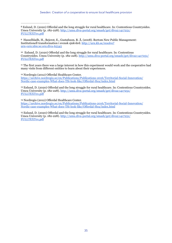<span id="page-38-0"></span> Enlund, D. (2020) Offerdal and the long struggle for rural healthcare. In: Contentious Countrysides. [8](#page-33-5) Umea University (p. 182-228). [http://umu.diva-portal.org/smash/get/diva2:1417251/](http://umu.diva-portal.org/smash/get/diva2:1417251/FULLTEXT01.pdf) [FULLTEXT01.pdf](http://umu.diva-portal.org/smash/get/diva2:1417251/FULLTEXT01.pdf)

<span id="page-38-1"></span>Hasselbladh, H., Bejerot, E., Gustafsson, R. Å. (2008). Bortom New Public Management: [9](#page-34-0) Institutionell transformation i svensk sjukvård. [http://urn.kb.se/resolve?](http://urn.kb.se/resolve?urn=urn:nbn:se:oru:diva-65545) [urn=urn:nbn:se:oru:diva-65545](http://urn.kb.se/resolve?urn=urn:nbn:se:oru:diva-65545)

<span id="page-38-2"></span><sup>[10](#page-34-1)</sup> Enlund, D. (2020) Offerdal and the long struggle for rural healthcare. In: Contentious Countrysides. Umea University (p. 182-228). [http://umu.diva-portal.org/smash/get/diva2:1417251/](http://umu.diva-portal.org/smash/get/diva2:1417251/FULLTEXT01.pdf) [FULLTEXT01.pdf](http://umu.diva-portal.org/smash/get/diva2:1417251/FULLTEXT01.pdf)

<span id="page-38-3"></span><sup>[11](#page-34-2)</sup> The first years there was a large interest in how this experiment would work and the cooperative had many visits from different entities to learn about their experiences.

<span id="page-38-4"></span><sup>[12](#page-36-0)</sup> Nordregio (2012) Offerdal Healthcare Center. [https://archive.nordregio.se/en/Publications/Publications-2016/Territorial-Social-Innovation/](https://archive.nordregio.se/en/Publications/Publications-2016/Territorial-Social-Innovation/Nordic-case-examples-What-does-TSi-look-like/Offerdal-Hea/index.html) [Nordic-case-examples-What-does-TSi-look-like/Offerdal-Hea/index.html](https://archive.nordregio.se/en/Publications/Publications-2016/Territorial-Social-Innovation/Nordic-case-examples-What-does-TSi-look-like/Offerdal-Hea/index.html)

<span id="page-38-5"></span><sup>[13](#page-36-1)</sup> Enlund, D. (2020) Offerdal and the long struggle for rural healthcare. In: Contentious Countrysides. Umea University (p. 182-228). [http://umu.diva-portal.org/smash/get/diva2:1417251/](http://umu.diva-portal.org/smash/get/diva2:1417251/FULLTEXT01.pdf) [FULLTEXT01.pdf](http://umu.diva-portal.org/smash/get/diva2:1417251/FULLTEXT01.pdf)

<span id="page-38-6"></span><sup>[14](#page-36-2)</sup> Nordregio (2012) Offerdal Healthcare Center. [https://archive.nordregio.se/en/Publications/Publications-2016/Territorial-Social-Innovation/](https://archive.nordregio.se/en/Publications/Publications-2016/Territorial-Social-Innovation/Nordic-case-examples-What-does-TSi-look-like/Offerdal-Hea/index.html) [Nordic-case-examples-What-does-TSi-look-like/Offerdal-Hea/index.html](https://archive.nordregio.se/en/Publications/Publications-2016/Territorial-Social-Innovation/Nordic-case-examples-What-does-TSi-look-like/Offerdal-Hea/index.html)

<span id="page-38-7"></span><sup>[15](#page-36-3)</sup> Enlund, D. (2020) Offerdal and the long struggle for rural healthcare. In: Contentious Countrysides. Umea University (p. 182-228). [http://umu.diva-portal.org/smash/get/diva2:1417251/](http://umu.diva-portal.org/smash/get/diva2:1417251/FULLTEXT01.pdf) [FULLTEXT01.pdf](http://umu.diva-portal.org/smash/get/diva2:1417251/FULLTEXT01.pdf)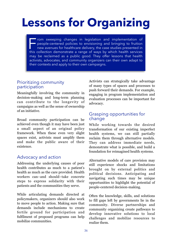## **Lessons for Organizing**

From sweeping changes in legislation and implementation of<br>people-centered policies to envisioning and bringing to fruition<br>new avenues for healthcare delivery, the case studies presented in<br>this collection demonstrate a r people-centered policies to envisioning and bringing to fruition new avenues for healthcare delivery, the case studies presented in this collection demonstrate a range of ways by which health services may be reclaimed as a public good. They offer lessons that health activists, advocates, and community organizers can their own adapt to their contexts and apply to their own campaigns.

#### Prioritizing community participation

Meaningfully involving the community in decision-making and long-term planning can contribute to the longevity of campaigns as well as the sense of ownership of an initiative.

Broad community participation can be achieved even though it may have been just a small aspect of an original policy framework. When these even very slight spaces exist, activists must amplify them and make the public aware of their existence.

#### Advocacy and action

Addressing the underlying causes of poor health contributes as much to a patient's health as much as the care provided. Health workers can–and should–take concrete steps to express solidarity with their patients and the communities they serve.

While articulating demands directed at policymakers, organizers should also work to move people to action. Making sure that demands include mechanisms to create fertile ground for participation and fulfilment of proposed programs can help mobilize communities.

Activists can strategically take advantage of many types of spaces and processes to push forward their demands. For example, engaging in program implementation and evaluation processes can be important for advocacy.

#### Grasping opportunities for change

While working towards the desired transformation of our existing imperfect health systems, we can still partially reclaim them through alternative models. They can address immediate needs, demonstrate what is possible, and build a foundation for reimagined health systems.

Alternative models of care provision may still experience shocks and limitations brought on by external politics and political decisions. Anticipating and navigating such times may be unique opportunities to highlight the potential of people-centered decision-making.

Often the knowledge, skills, and solutions to fill gaps left by governments lie in the community. Diverse partnerships and community organizing create pathways to develop innovative solutions to local challenges and mobilize resources to realize them.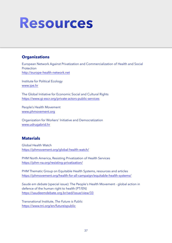## **Resources**

#### **Organizations**

European Network Against Privatization and Commercialization of Health and Social Protection <http://europe-health-network.net>

Institute for Political Ecology [www.ipe.hr](http://www.ipe.hr)

The Global Initiative for Economic Social and Cultural Rights <https://www.gi-escr.org/private-actors-public-services>

People's Health Movement [www.phmovement.org](http://www.phmovement.org)

Organization for Workers' Initiative and Democratization [www.udrugabrid.hr](http://www.udrugabrid.hr)

#### **Materials**

Global Health Watch <https://phmovement.org/global-health-watch/>

PHM North America, Resisting Privatization of Health Services <https://phm-na.org/resisting-privatization/>

PHM Thematic Group on Equitable Health Systems, resources and articles <https://phmovement.org/health-for-all-campaign/equitable-health-systems/>

*Saude em debate* (special issue): The People's Health Movement - global action in defence of the human right to health (PT/EN) <https://saudeemdebate.org.br/sed/issue/view/33>

Transnational Institute, *The Future is Public* <https://www.tni.org/en/futureispublic>